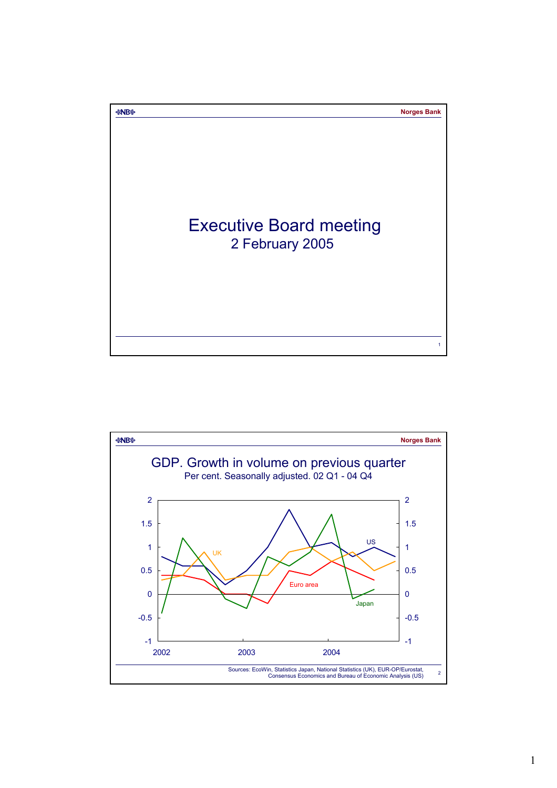

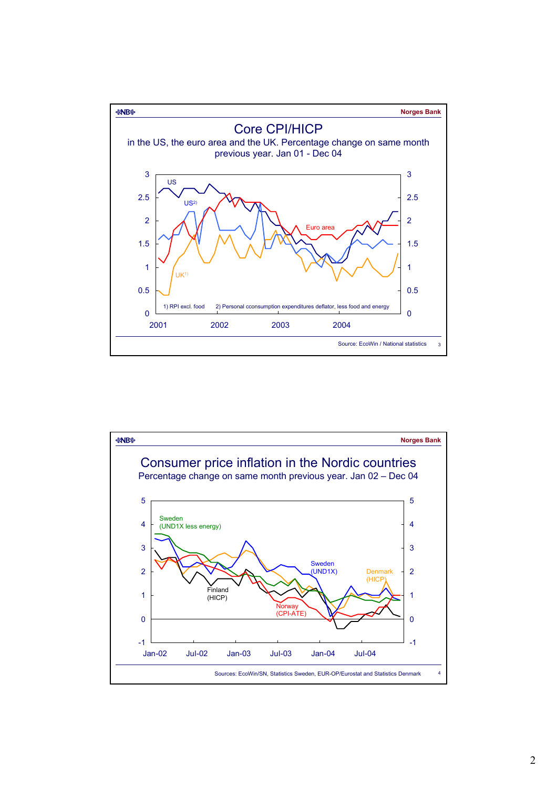

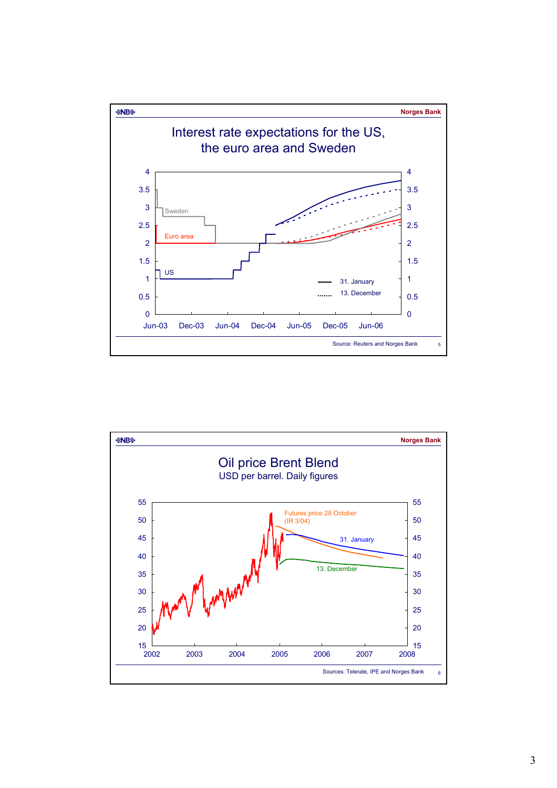

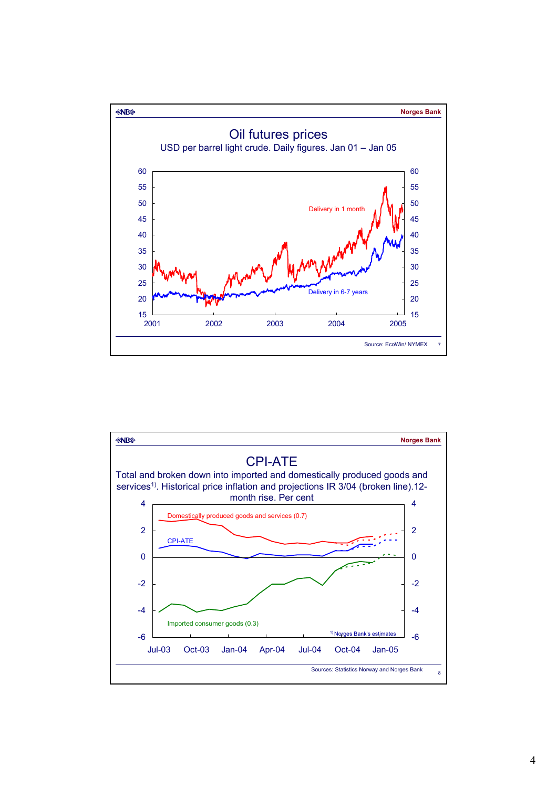

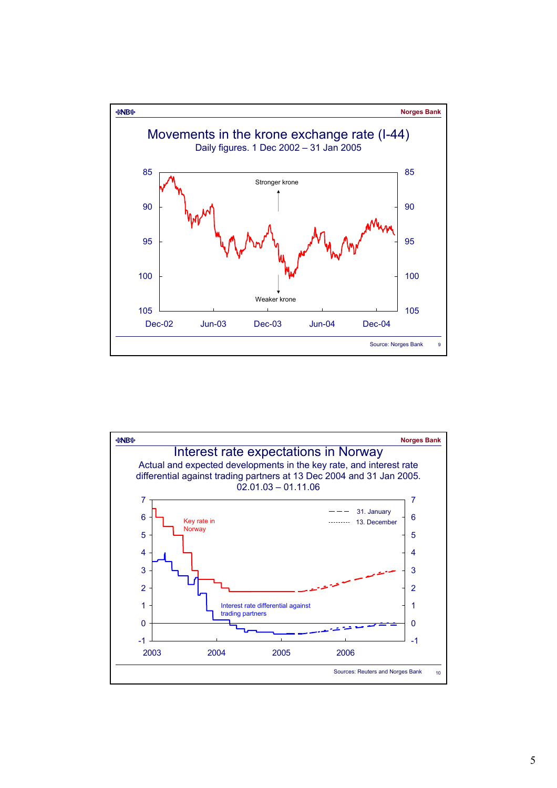

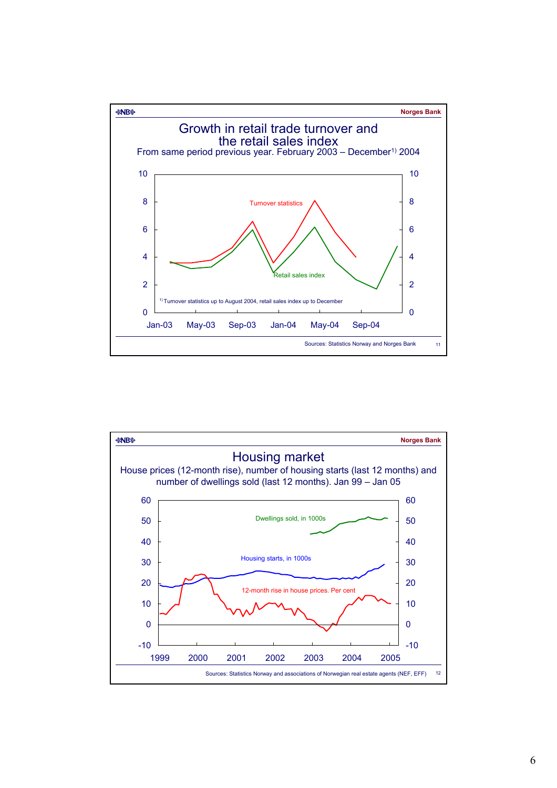

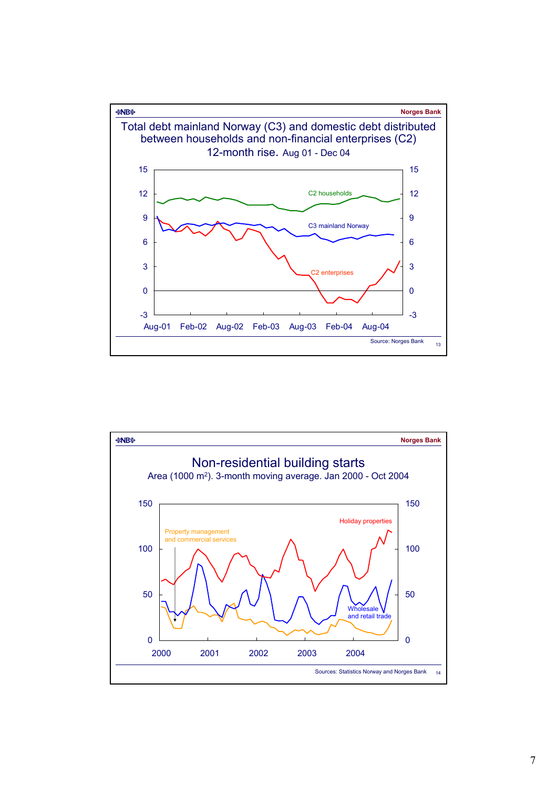

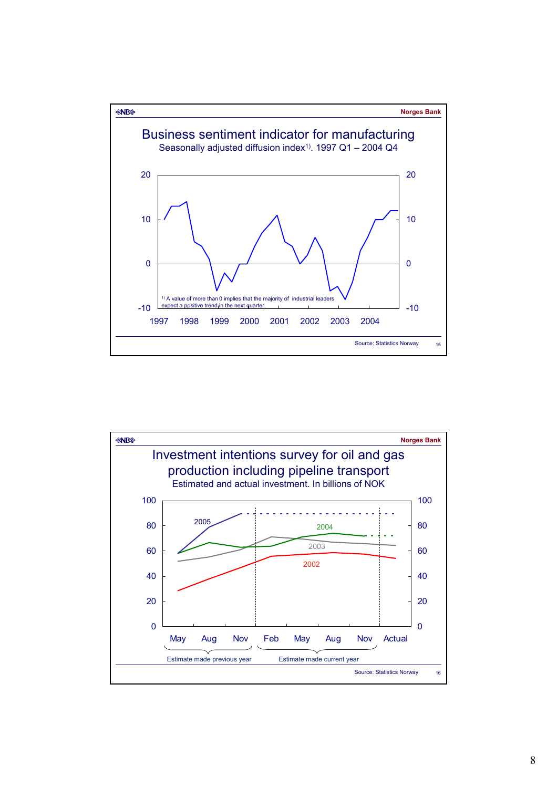

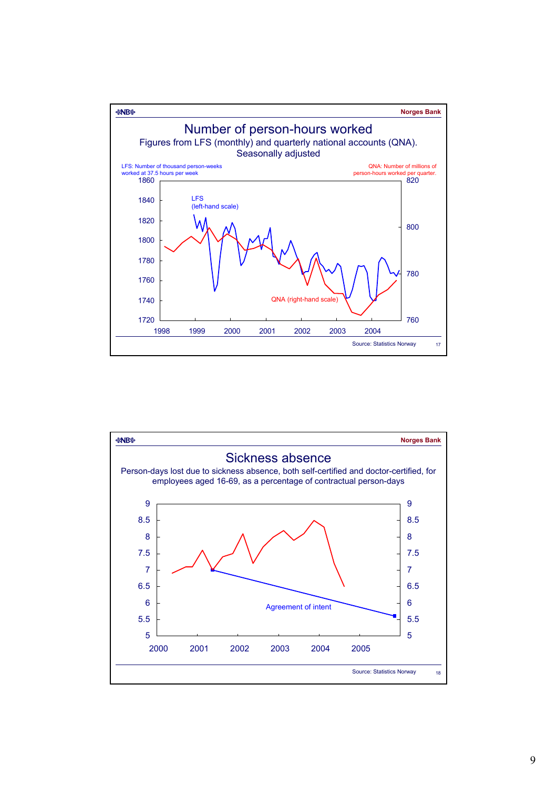

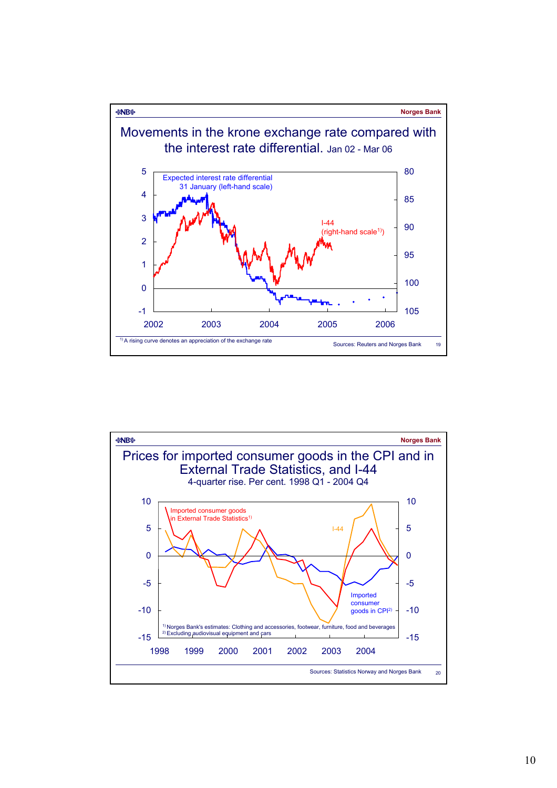